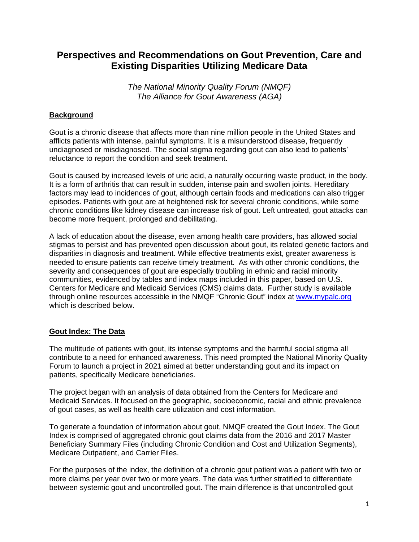# **Perspectives and Recommendations on Gout Prevention, Care and Existing Disparities Utilizing Medicare Data**

*The National Minority Quality Forum (NMQF) The Alliance for Gout Awareness (AGA)*

# **Background**

Gout is a chronic disease that affects more than nine million people in the United States and afflicts patients with intense, painful symptoms. It is a misunderstood disease, frequently undiagnosed or misdiagnosed. The social stigma regarding gout can also lead to patients' reluctance to report the condition and seek treatment.

Gout is caused by increased levels of uric acid, a naturally occurring waste product, in the body. It is a form of arthritis that can result in sudden, intense pain and swollen joints. Hereditary factors may lead to incidences of gout, although certain foods and medications can also trigger episodes. Patients with gout are at heightened risk for several chronic conditions, while some chronic conditions like kidney disease can increase risk of gout. Left untreated, gout attacks can become more frequent, prolonged and debilitating.

A lack of education about the disease, even among health care providers, has allowed social stigmas to persist and has prevented open discussion about gout, its related genetic factors and disparities in diagnosis and treatment. While effective treatments exist, greater awareness is needed to ensure patients can receive timely treatment. As with other chronic conditions, the severity and consequences of gout are especially troubling in ethnic and racial minority communities, evidenced by tables and index maps included in this paper, based on U.S. Centers for Medicare and Medicaid Services (CMS) claims data. Further study is available through online resources accessible in the NMQF "Chronic Gout" index at [www.mypalc.org](http://www.mypalc.org/) which is described below.

# **Gout Index: The Data**

The multitude of patients with gout, its intense symptoms and the harmful social stigma all contribute to a need for enhanced awareness. This need prompted the National Minority Quality Forum to launch a project in 2021 aimed at better understanding gout and its impact on patients, specifically Medicare beneficiaries.

The project began with an analysis of data obtained from the Centers for Medicare and Medicaid Services. It focused on the geographic, socioeconomic, racial and ethnic prevalence of gout cases, as well as health care utilization and cost information.

To generate a foundation of information about gout, NMQF created the Gout Index. The Gout Index is comprised of aggregated chronic gout claims data from the 2016 and 2017 Master Beneficiary Summary Files (including Chronic Condition and Cost and Utilization Segments), Medicare Outpatient, and Carrier Files.

For the purposes of the index, the definition of a chronic gout patient was a patient with two or more claims per year over two or more years. The data was further stratified to differentiate between systemic gout and uncontrolled gout. The main difference is that uncontrolled gout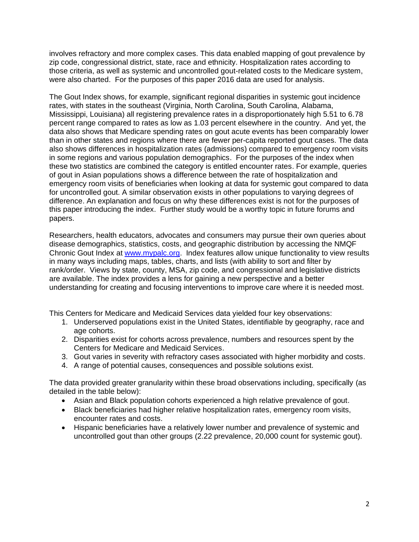involves refractory and more complex cases. This data enabled mapping of gout prevalence by zip code, congressional district, state, race and ethnicity. Hospitalization rates according to those criteria, as well as systemic and uncontrolled gout-related costs to the Medicare system, were also charted. For the purposes of this paper 2016 data are used for analysis.

The Gout Index shows, for example, significant regional disparities in systemic gout incidence rates, with states in the southeast (Virginia, North Carolina, South Carolina, Alabama, Mississippi, Louisiana) all registering prevalence rates in a disproportionately high 5.51 to 6.78 percent range compared to rates as low as 1.03 percent elsewhere in the country. And yet, the data also shows that Medicare spending rates on gout acute events has been comparably lower than in other states and regions where there are fewer per-capita reported gout cases. The data also shows differences in hospitalization rates (admissions) compared to emergency room visits in some regions and various population demographics. For the purposes of the index when these two statistics are combined the category is entitled encounter rates. For example, queries of gout in Asian populations shows a difference between the rate of hospitalization and emergency room visits of beneficiaries when looking at data for systemic gout compared to data for uncontrolled gout. A similar observation exists in other populations to varying degrees of difference. An explanation and focus on why these differences exist is not for the purposes of this paper introducing the index. Further study would be a worthy topic in future forums and papers.

Researchers, health educators, advocates and consumers may pursue their own queries about disease demographics, statistics, costs, and geographic distribution by accessing the NMQF Chronic Gout Index at [www.mypalc.org.](http://www.mypalc.org/) Index features allow unique functionality to view results in many ways including maps, tables, charts, and lists (with ability to sort and filter by rank/order. Views by state, county, MSA, zip code, and congressional and legislative districts are available. The index provides a lens for gaining a new perspective and a better understanding for creating and focusing interventions to improve care where it is needed most.

This Centers for Medicare and Medicaid Services data yielded four key observations:

- 1. Underserved populations exist in the United States, identifiable by geography, race and age cohorts.
- 2. Disparities exist for cohorts across prevalence, numbers and resources spent by the Centers for Medicare and Medicaid Services.
- 3. Gout varies in severity with refractory cases associated with higher morbidity and costs.
- 4. A range of potential causes, consequences and possible solutions exist.

The data provided greater granularity within these broad observations including, specifically (as detailed in the table below):

- Asian and Black population cohorts experienced a high relative prevalence of gout.
- Black beneficiaries had higher relative hospitalization rates, emergency room visits, encounter rates and costs.
- Hispanic beneficiaries have a relatively lower number and prevalence of systemic and uncontrolled gout than other groups (2.22 prevalence, 20,000 count for systemic gout).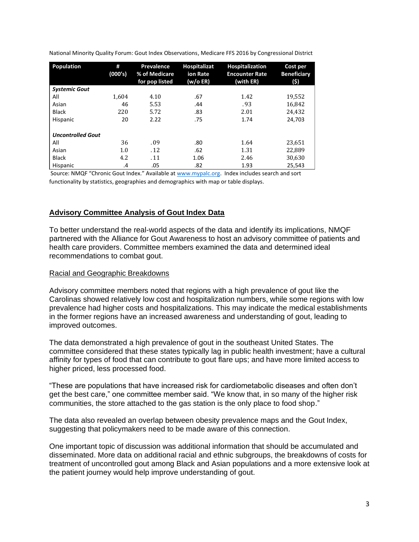| <b>Population</b>        | #<br>(000's) | Prevalence<br>% of Medicare<br>for pop listed | <b>Hospitalizat</b><br>ion Rate<br>(w/o ER) | <b>Hospitalization</b><br><b>Encounter Rate</b><br>(with ER) | Cost per<br><b>Beneficiary</b><br>(\$) |
|--------------------------|--------------|-----------------------------------------------|---------------------------------------------|--------------------------------------------------------------|----------------------------------------|
| <b>Systemic Gout</b>     |              |                                               |                                             |                                                              |                                        |
| All                      | 1.604        | 4.10                                          | .67                                         | 1.42                                                         | 19,552                                 |
| Asian                    | 46           | 5.53                                          | .44                                         | .93                                                          | 16,842                                 |
| <b>Black</b>             | 220          | 5.72                                          | .83                                         | 2.01                                                         | 24,432                                 |
| Hispanic                 | 20           | 2.22                                          | .75                                         | 1.74                                                         | 24,703                                 |
| <b>Uncontrolled Gout</b> |              |                                               |                                             |                                                              |                                        |
| All                      | 36           | .09                                           | .80                                         | 1.64                                                         | 23,651                                 |
| Asian                    | 1.0          | .12                                           | .62                                         | 1.31                                                         | 22,889                                 |
| <b>Black</b>             | 4.2          | . 11                                          | 1.06                                        | 2.46                                                         | 30,630                                 |
| Hispanic                 | .4           | .05                                           | .82                                         | 1.93                                                         | 25,543                                 |

National Minority Quality Forum: Gout Index Observations, Medicare FFS 2016 by Congressional District

Source: NMQF "Chronic Gout Index." Available at www.mypalc.org. Index includes search and sort functionality by statistics, geographies and demographics with map or table displays.

## **Advisory Committee Analysis of Gout Index Data**

To better understand the real-world aspects of the data and identify its implications, NMQF partnered with the Alliance for Gout Awareness to host an advisory committee of patients and health care providers. Committee members examined the data and determined ideal recommendations to combat gout.

#### Racial and Geographic Breakdowns

Advisory committee members noted that regions with a high prevalence of gout like the Carolinas showed relatively low cost and hospitalization numbers, while some regions with low prevalence had higher costs and hospitalizations. This may indicate the medical establishments in the former regions have an increased awareness and understanding of gout, leading to improved outcomes.

The data demonstrated a high prevalence of gout in the southeast United States. The committee considered that these states typically lag in public health investment; have a cultural affinity for types of food that can contribute to gout flare ups; and have more limited access to higher priced, less processed food.

"These are populations that have increased risk for cardiometabolic diseases and often don't get the best care," one committee member said. "We know that, in so many of the higher risk communities, the store attached to the gas station is the only place to food shop."

The data also revealed an overlap between obesity prevalence maps and the Gout Index, suggesting that policymakers need to be made aware of this connection.

One important topic of discussion was additional information that should be accumulated and disseminated. More data on additional racial and ethnic subgroups, the breakdowns of costs for treatment of uncontrolled gout among Black and Asian populations and a more extensive look at the patient journey would help improve understanding of gout.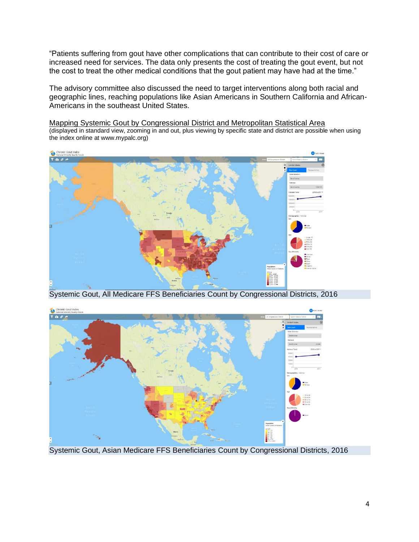"Patients suffering from gout have other complications that can contribute to their cost of care or increased need for services. The data only presents the cost of treating the gout event, but not the cost to treat the other medical conditions that the gout patient may have had at the time."

The advisory committee also discussed the need to target interventions along both racial and geographic lines, reaching populations like Asian Americans in Southern California and African-Americans in the southeast United States.

Mapping Systemic Gout by Congressional District and Metropolitan Statistical Area (displayed in standard view, zooming in and out, plus viewing by specific state and district are possible when using the index online at www.mypalc.org)



Systemic Gout, All Medicare FFS Beneficiaries Count by Congressional Districts, 2016



Systemic Gout, Asian Medicare FFS Beneficiaries Count by Congressional Districts, 2016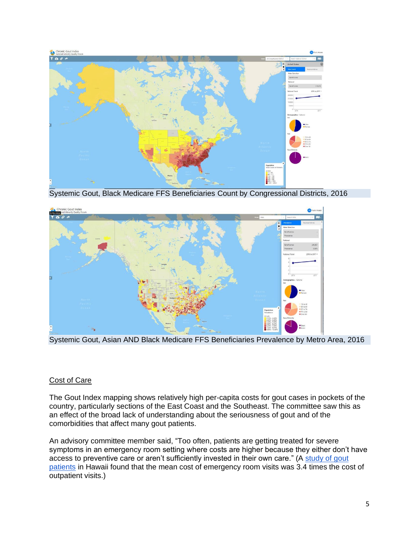

Systemic Gout, Black Medicare FFS Beneficiaries Count by Congressional Districts, 2016



Systemic Gout, Asian AND Black Medicare FFS Beneficiaries Prevalence by Metro Area, 2016

## Cost of Care

The Gout Index mapping shows relatively high per-capita costs for gout cases in pockets of the country, particularly sections of the East Coast and the Southeast. The committee saw this as an effect of the broad lack of understanding about the seriousness of gout and of the comorbidities that affect many gout patients.

An advisory committee member said, "Too often, patients are getting treated for severe symptoms in an emergency room setting where costs are higher because they either don't have access to preventive care or aren't sufficiently invested in their own care." (A [study of gout](https://journals.plos.org/plosone/article?id=10.1371/journal.pone.0220978)  [patients](https://journals.plos.org/plosone/article?id=10.1371/journal.pone.0220978) in Hawaii found that the mean cost of emergency room visits was 3.4 times the cost of outpatient visits.)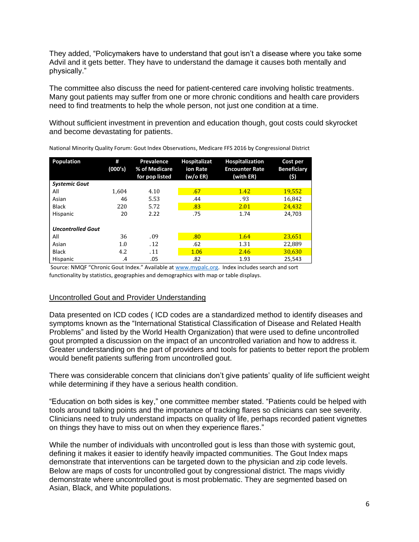They added, "Policymakers have to understand that gout isn't a disease where you take some Advil and it gets better. They have to understand the damage it causes both mentally and physically."

The committee also discuss the need for patient-centered care involving holistic treatments. Many gout patients may suffer from one or more chronic conditions and health care providers need to find treatments to help the whole person, not just one condition at a time.

Without sufficient investment in prevention and education though, gout costs could skyrocket and become devastating for patients.

| <b>Population</b>        | #<br>(000's) | Prevalence<br>% of Medicare<br>for pop listed | <b>Hospitalizat</b><br>ion Rate<br>(w/o ER) | <b>Hospitalization</b><br><b>Encounter Rate</b><br>(with ER) | Cost per<br><b>Beneficiary</b><br>(5) |
|--------------------------|--------------|-----------------------------------------------|---------------------------------------------|--------------------------------------------------------------|---------------------------------------|
| <b>Systemic Gout</b>     |              |                                               |                                             |                                                              |                                       |
| All                      | 1.604        | 4.10                                          | .67                                         | 1.42                                                         | <b>19,552</b>                         |
| Asian                    | 46           | 5.53                                          | .44                                         | .93                                                          | 16,842                                |
| <b>Black</b>             | 220          | 5.72                                          | .83                                         | 2.01                                                         | 24,432                                |
| Hispanic                 | 20           | 2.22                                          | .75                                         | 1.74                                                         | 24.703                                |
| <b>Uncontrolled Gout</b> |              |                                               |                                             |                                                              |                                       |
| All                      | 36           | .09                                           | .80                                         | 1.64                                                         | 23,651                                |
| Asian                    | 1.0          | .12                                           | .62                                         | 1.31                                                         | 22.889                                |
| <b>Black</b>             | 4.2          | .11                                           | 1.06                                        | 2.46                                                         | 30,630                                |
| Hispanic                 | .4           | .05                                           | .82                                         | 1.93                                                         | 25.543                                |

National Minority Quality Forum: Gout Index Observations, Medicare FFS 2016 by Congressional District

Source: NMQF "Chronic Gout Index." Available at www.mypalc.org. Index includes search and sort functionality by statistics, geographies and demographics with map or table displays.

#### Uncontrolled Gout and Provider Understanding

Data presented on ICD codes ( ICD codes are a standardized method to identify diseases and symptoms known as the "International Statistical Classification of Disease and Related Health Problems" and listed by the World Health Organization) that were used to define uncontrolled gout prompted a discussion on the impact of an uncontrolled variation and how to address it. Greater understanding on the part of providers and tools for patients to better report the problem would benefit patients suffering from uncontrolled gout.

There was considerable concern that clinicians don't give patients' quality of life sufficient weight while determining if they have a serious health condition.

"Education on both sides is key," one committee member stated. "Patients could be helped with tools around talking points and the importance of tracking flares so clinicians can see severity. Clinicians need to truly understand impacts on quality of life, perhaps recorded patient vignettes on things they have to miss out on when they experience flares."

While the number of individuals with uncontrolled gout is less than those with systemic gout, defining it makes it easier to identify heavily impacted communities. The Gout Index maps demonstrate that interventions can be targeted down to the physician and zip code levels. Below are maps of costs for uncontrolled gout by congressional district. The maps vividly demonstrate where uncontrolled gout is most problematic. They are segmented based on Asian, Black, and White populations.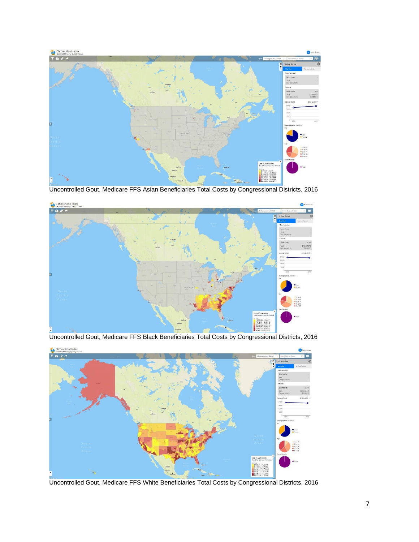

Uncontrolled Gout, Medicare FFS Asian Beneficiaries Total Costs by Congressional Districts, 2016



Uncontrolled Gout, Medicare FFS Black Beneficiaries Total Costs by Congressional Districts, 2016



Uncontrolled Gout, Medicare FFS White Beneficiaries Total Costs by Congressional Districts, 2016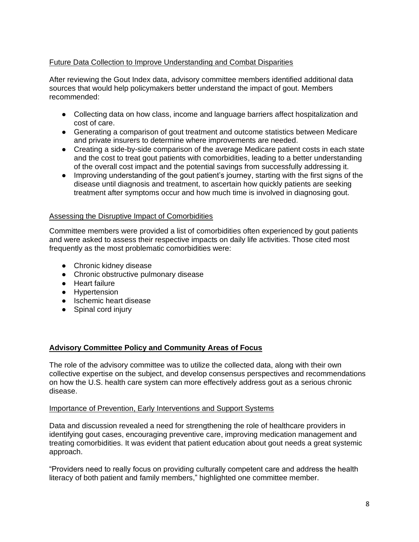# Future Data Collection to Improve Understanding and Combat Disparities

After reviewing the Gout Index data, advisory committee members identified additional data sources that would help policymakers better understand the impact of gout. Members recommended:

- Collecting data on how class, income and language barriers affect hospitalization and cost of care.
- Generating a comparison of gout treatment and outcome statistics between Medicare and private insurers to determine where improvements are needed.
- Creating a side-by-side comparison of the average Medicare patient costs in each state and the cost to treat gout patients with comorbidities, leading to a better understanding of the overall cost impact and the potential savings from successfully addressing it.
- Improving understanding of the gout patient's journey, starting with the first signs of the disease until diagnosis and treatment, to ascertain how quickly patients are seeking treatment after symptoms occur and how much time is involved in diagnosing gout.

## Assessing the Disruptive Impact of Comorbidities

Committee members were provided a list of comorbidities often experienced by gout patients and were asked to assess their respective impacts on daily life activities. Those cited most frequently as the most problematic comorbidities were:

- Chronic kidney disease
- Chronic obstructive pulmonary disease
- Heart failure
- Hypertension
- Ischemic heart disease
- Spinal cord injury

## **Advisory Committee Policy and Community Areas of Focus**

The role of the advisory committee was to utilize the collected data, along with their own collective expertise on the subject, and develop consensus perspectives and recommendations on how the U.S. health care system can more effectively address gout as a serious chronic disease.

## Importance of Prevention, Early Interventions and Support Systems

Data and discussion revealed a need for strengthening the role of healthcare providers in identifying gout cases, encouraging preventive care, improving medication management and treating comorbidities. It was evident that patient education about gout needs a great systemic approach.

"Providers need to really focus on providing culturally competent care and address the health literacy of both patient and family members," highlighted one committee member.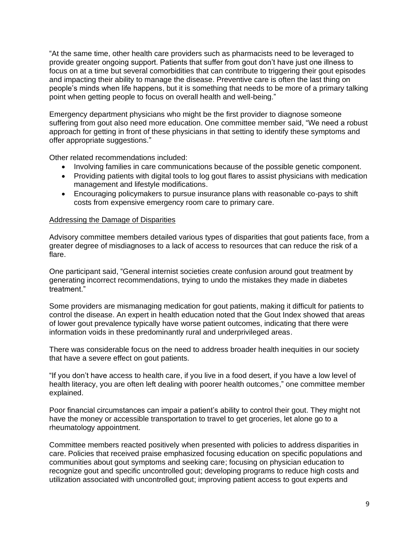"At the same time, other health care providers such as pharmacists need to be leveraged to provide greater ongoing support. Patients that suffer from gout don't have just one illness to focus on at a time but several comorbidities that can contribute to triggering their gout episodes and impacting their ability to manage the disease. Preventive care is often the last thing on people's minds when life happens, but it is something that needs to be more of a primary talking point when getting people to focus on overall health and well-being."

Emergency department physicians who might be the first provider to diagnose someone suffering from gout also need more education. One committee member said, "We need a robust approach for getting in front of these physicians in that setting to identify these symptoms and offer appropriate suggestions."

Other related recommendations included:

- Involving families in care communications because of the possible genetic component.
- Providing patients with digital tools to log gout flares to assist physicians with medication management and lifestyle modifications.
- Encouraging policymakers to pursue insurance plans with reasonable co-pays to shift costs from expensive emergency room care to primary care.

#### Addressing the Damage of Disparities

Advisory committee members detailed various types of disparities that gout patients face, from a greater degree of misdiagnoses to a lack of access to resources that can reduce the risk of a flare.

One participant said, "General internist societies create confusion around gout treatment by generating incorrect recommendations, trying to undo the mistakes they made in diabetes treatment."

Some providers are mismanaging medication for gout patients, making it difficult for patients to control the disease. An expert in health education noted that the Gout Index showed that areas of lower gout prevalence typically have worse patient outcomes, indicating that there were information voids in these predominantly rural and underprivileged areas.

There was considerable focus on the need to address broader health inequities in our society that have a severe effect on gout patients.

"If you don't have access to health care, if you live in a food desert, if you have a low level of health literacy, you are often left dealing with poorer health outcomes," one committee member explained.

Poor financial circumstances can impair a patient's ability to control their gout. They might not have the money or accessible transportation to travel to get groceries, let alone go to a rheumatology appointment.

Committee members reacted positively when presented with policies to address disparities in care. Policies that received praise emphasized focusing education on specific populations and communities about gout symptoms and seeking care; focusing on physician education to recognize gout and specific uncontrolled gout; developing programs to reduce high costs and utilization associated with uncontrolled gout; improving patient access to gout experts and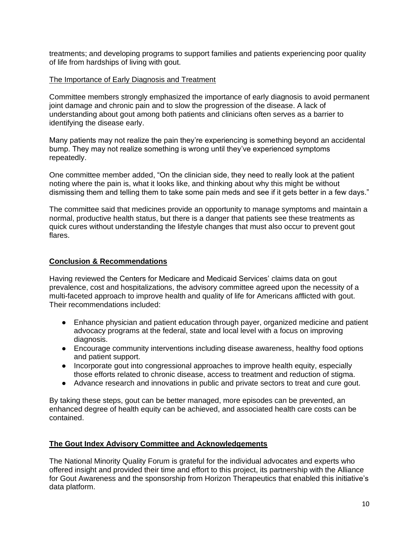treatments; and developing programs to support families and patients experiencing poor quality of life from hardships of living with gout.

## The Importance of Early Diagnosis and Treatment

Committee members strongly emphasized the importance of early diagnosis to avoid permanent joint damage and chronic pain and to slow the progression of the disease. A lack of understanding about gout among both patients and clinicians often serves as a barrier to identifying the disease early.

Many patients may not realize the pain they're experiencing is something beyond an accidental bump. They may not realize something is wrong until they've experienced symptoms repeatedly.

One committee member added, "On the clinician side, they need to really look at the patient noting where the pain is, what it looks like, and thinking about why this might be without dismissing them and telling them to take some pain meds and see if it gets better in a few days."

The committee said that medicines provide an opportunity to manage symptoms and maintain a normal, productive health status, but there is a danger that patients see these treatments as quick cures without understanding the lifestyle changes that must also occur to prevent gout flares.

# **Conclusion & Recommendations**

Having reviewed the Centers for Medicare and Medicaid Services' claims data on gout prevalence, cost and hospitalizations, the advisory committee agreed upon the necessity of a multi-faceted approach to improve health and quality of life for Americans afflicted with gout. Their recommendations included:

- Enhance physician and patient education through payer, organized medicine and patient advocacy programs at the federal, state and local level with a focus on improving diagnosis.
- Encourage community interventions including disease awareness, healthy food options and patient support.
- Incorporate gout into congressional approaches to improve health equity, especially those efforts related to chronic disease, access to treatment and reduction of stigma.
- Advance research and innovations in public and private sectors to treat and cure gout.

By taking these steps, gout can be better managed, more episodes can be prevented, an enhanced degree of health equity can be achieved, and associated health care costs can be contained.

# **The Gout Index Advisory Committee and Acknowledgements**

The National Minority Quality Forum is grateful for the individual advocates and experts who offered insight and provided their time and effort to this project, its partnership with the Alliance for Gout Awareness and the sponsorship from Horizon Therapeutics that enabled this initiative's data platform.